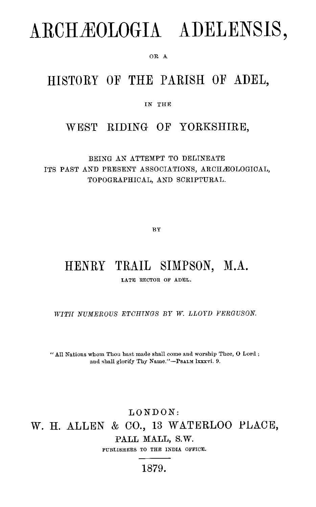# ARCHÆOLOGIA ADELENSIS,

OR A

## HISTORY OF THE PARISH OF ADEL,

IN THE

### WEST RIDING OF YORKSHIRE,

BEING AN ATTEMPT TO DELINEATE ITS PAST AND PRESENT ASSOCIATIONS, ARCHÆOLOGICAL, TOPOGRAPHICAL, AND SCRIPTURAL.

BY

# HENRY TRAIL SIMPSON, M.A.

LATE RECTOR OF ADEL.

*WITH NUMEROUS ETCHINGS BY W. LLOYD FERGUSON.* 

" All Nations whom Thou hast made shall come and worship Thee, 0 Lord ; and shall glorify Thy Name."—Psalm lxxxvi. 9.

#### LONDON: W. H. ALLEN & CO., 13 WATERLOO PLACE, PALL MALL, S.W. PUBLISHERS TO THE INDIA OFFICE.

1879.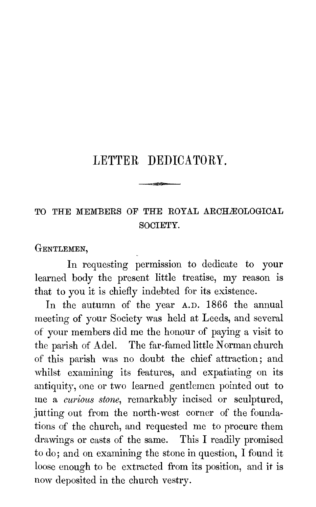## LETTER DEDICATORY.

 $\alpha$ 

## TO THE MEMBERS OF THE ROYAL ARCHÆOLOGICAL SOCIETY.

GENTLEMEN,

In requesting permission to dedicate to your learned body the present little treatise, my reason is that to you it is chiefly indebted for its existence.

In the autumn of the year A.D. 1866 the annual meeting of your Society was held at Leeds, and several of your members did me the honour of paying a visit to the parish of Adel. The far-famed little Norman church of this parish was no doubt the chief attraction; and whilst examining its features, and expatiating on its antiquity, one or two learned gentlemen pointed out to me a *curious stone,* remarkably incised or sculptured, jutting out from the north-west corner of the foundations of the church, and requested me to procure them drawings or casts of the same. This I readily promised to do; and on examining the stone in question, I found it loose enough to be extracted from its position, and it is now deposited in the church vestry.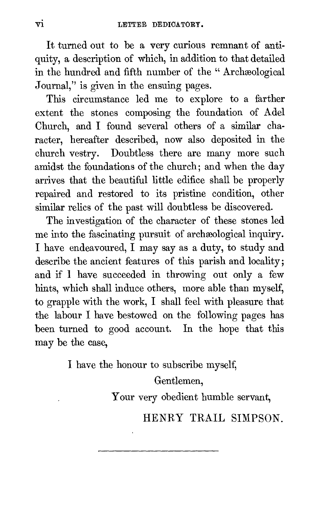It turned out to be a very curious remnant of antiquity, a description of which, in addition to that detailed in the hundred and fifth number of the " Archæological Journal," is given in the ensuing pages.

This circumstance led me to explore to a farther extent the stones composing the foundation of Adel Church, and I found several others of a similar character, hereafter described, now also deposited in the church vestry. Doubtless there are many more such amidst the foundations of the church; and when the day arrives that the beautiful little edifice shall be properly repaired and restored to its pristine condition, other similar relics of the past will doubtless be discovered.

The investigation of the character of these stones led me into the fascinating pursuit of archæological inquiry. I have endeavoured, I may say as a duty, to study and describe the ancient features of this parish and locality; and if 1 have succeeded in throwing out only a few hints, which shall induce others, more able than myself, to grapple with the work, I shall feel with pleasure that the labour I have bestowed on the following pages has been turned to good account. In the hope that this may be the case,

I have the honour to subscribe myself,

Gentlemen, Your very obedient humble servant,

HENRY TRAIL SIMPSON.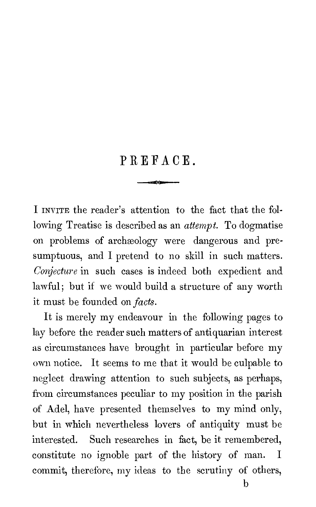# PREFACE.

ar o'r

I INVITE the reader's attention to the fact that the following Treatise is described as an attempt. To dogmatise on problems of archeology were dangerous and presumptuous, and I pretend to no skill in such matters. Conjecture in such cases is indeed both expedient and lawful; but if we would build a structure of any worth it must be founded on *facts*.

It is merely my endeavour in the following pages to lay before the reader such matters of antiquarian interest as circumstances have brought in particular before my own notice. It seems to me that it would be culpable to neglect drawing attention to such subjects, as perhaps, from circumstances peculiar to my position in the parish of Adel, have presented themselves to my mind only, but in which nevertheless lovers of antiquity must be interested. Such researches in fact, be it remembered, constitute no ignoble part of the history of man. I commit, therefore, my ideas to the scrutiny of others,